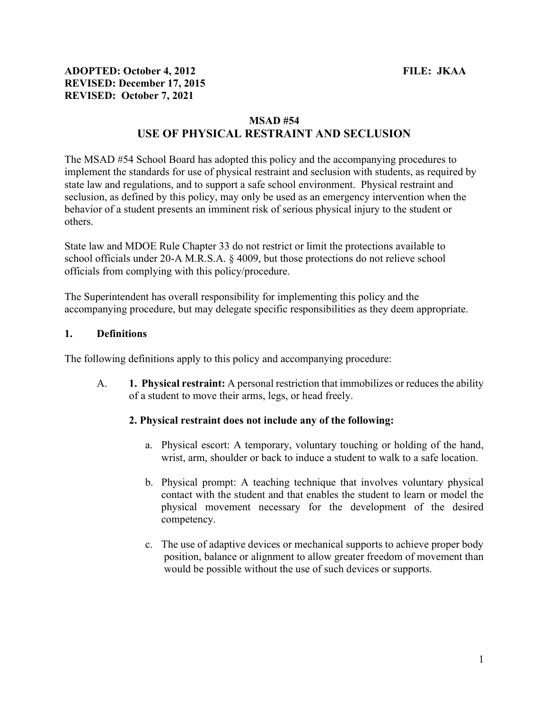#### MSAD #54

# USE OF PHYSICAL RESTRAINT AND SECLUSION

The MSAD #54 School Board has adopted this policy and the accompanying procedures to implement the standards for use of physical restraint and seclusion with students, as required by state law and regulations, and to support a safe school environment. Physical restraint and seclusion, as defined by this policy, may only be used as an emergency intervention when the behavior of a student presents an imminent risk of serious physical injury to the student or others.

State law and MDOE Rule Chapter 33 do not restrict or limit the protections available to school officials under 20-A M.R.S.A. § 4009, but those protections do not relieve school officials from complying with this policy/procedure.

The Superintendent has overall responsibility for implementing this policy and the accompanying procedure, but may delegate specific responsibilities as they deem appropriate.

#### 1. Definitions

The following definitions apply to this policy and accompanying procedure:

A. 1. Physical restraint: A personal restriction that immobilizes or reduces the ability of a student to move their arms, legs, or head freely.

### 2. Physical restraint does not include any of the following:

- a. Physical escort: A temporary, voluntary touching or holding of the hand, wrist, arm, shoulder or back to induce a student to walk to a safe location.
- b. Physical prompt: A teaching technique that involves voluntary physical contact with the student and that enables the student to learn or model the physical movement necessary for the development of the desired competency.
- c. The use of adaptive devices or mechanical supports to achieve proper body position, balance or alignment to allow greater freedom of movement than would be possible without the use of such devices or supports.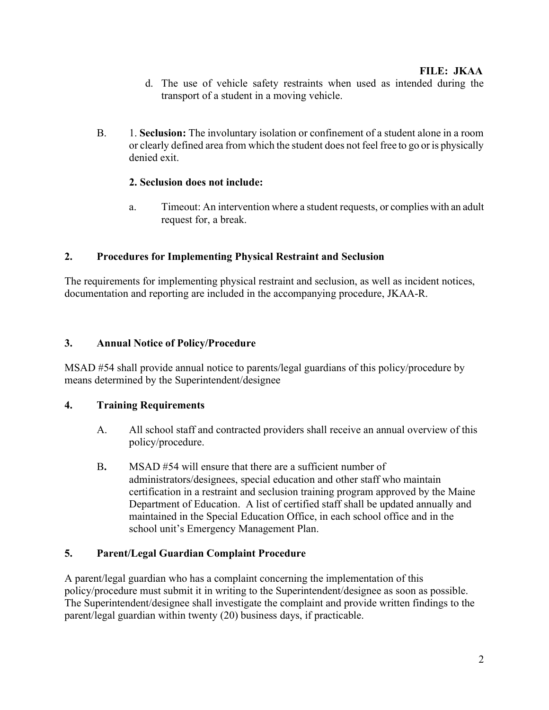- d. The use of vehicle safety restraints when used as intended during the transport of a student in a moving vehicle.
- B. 1. Seclusion: The involuntary isolation or confinement of a student alone in a room or clearly defined area from which the student does not feel free to go or is physically denied exit.

### 2. Seclusion does not include:

a. Timeout: An intervention where a student requests, or complies with an adult request for, a break.

### 2. Procedures for Implementing Physical Restraint and Seclusion

The requirements for implementing physical restraint and seclusion, as well as incident notices, documentation and reporting are included in the accompanying procedure, JKAA-R.

### 3. Annual Notice of Policy/Procedure

MSAD #54 shall provide annual notice to parents/legal guardians of this policy/procedure by means determined by the Superintendent/designee

# 4. Training Requirements

- A. All school staff and contracted providers shall receive an annual overview of this policy/procedure.
- B. MSAD #54 will ensure that there are a sufficient number of administrators/designees, special education and other staff who maintain certification in a restraint and seclusion training program approved by the Maine Department of Education. A list of certified staff shall be updated annually and maintained in the Special Education Office, in each school office and in the school unit's Emergency Management Plan.

# 5. Parent/Legal Guardian Complaint Procedure

A parent/legal guardian who has a complaint concerning the implementation of this policy/procedure must submit it in writing to the Superintendent/designee as soon as possible. The Superintendent/designee shall investigate the complaint and provide written findings to the parent/legal guardian within twenty (20) business days, if practicable.